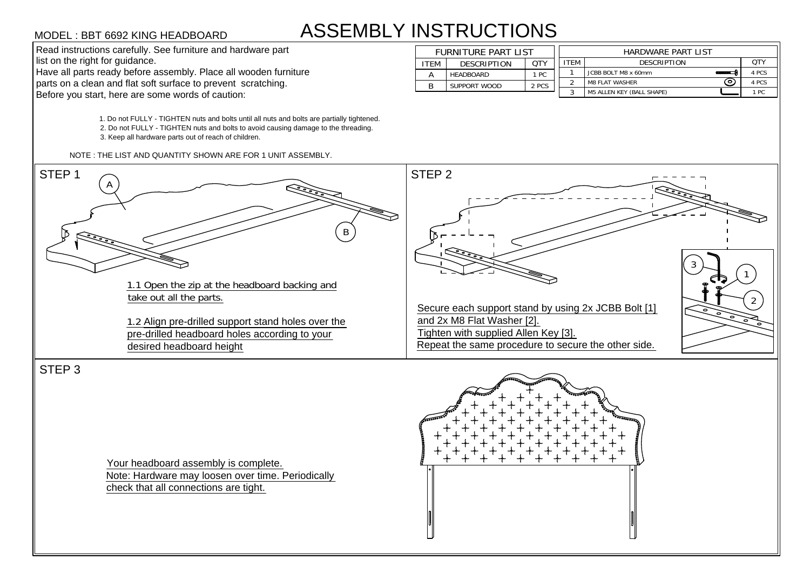## ASSEMBLY INSTRUCTIONS

MODEL : BBT 6692 KING HEADBOARD<br>
Read instructions carefully. See furniture and hardware part<br>
list on the right for guidance.<br>
Have all parts ready before assembly. Place all wooden furniture<br>
parts on a clean and flat so

1. Do not FULLY - TIGHTEN nuts and bolts until all nuts and bolts are partially tightened.

2. Do not FULLY - TIGHTEN nuts and bolts to avoid causing damage to the threading.

3. Keep all hardware parts out of reach of children.

| <b>ASSEMBLY INSTRUCTIONS</b><br>MODEL : BBT 6692 KING HEADBOARD                                                    |      |                                 |             |  |                                                                       |  |               |  |
|--------------------------------------------------------------------------------------------------------------------|------|---------------------------------|-------------|--|-----------------------------------------------------------------------|--|---------------|--|
| Read instructions carefully. See furniture and hardware part<br>list on the right for guidance.                    |      | <b>FURNITURE PART LIST</b>      |             |  | HARDWARE PART LIST<br><b>OTY</b><br><b>ITEM</b><br><b>DESCRIPTION</b> |  |               |  |
| Have all parts ready before assembly. Place all wooden furniture                                                   | ITEM | <b>DESCRIPTION</b><br>HEADBOARD | QTY<br>1 PC |  | JCBB BOLT M8 x 60mm                                                   |  | 4 PCS         |  |
| parts on a clean and flat soft surface to prevent scratching.<br>Before you start, here are some words of caution: |      | SUPPORT WOOD                    | 2 PCS       |  | ⊙<br><b>M8 FLAT WASHER</b><br>M5 ALLEN KEY (BALL SHAPE)               |  | 4 PCS<br>1 PC |  |



Your headboard assembly is complete. Note: Hardware may loosen over time. Periodically